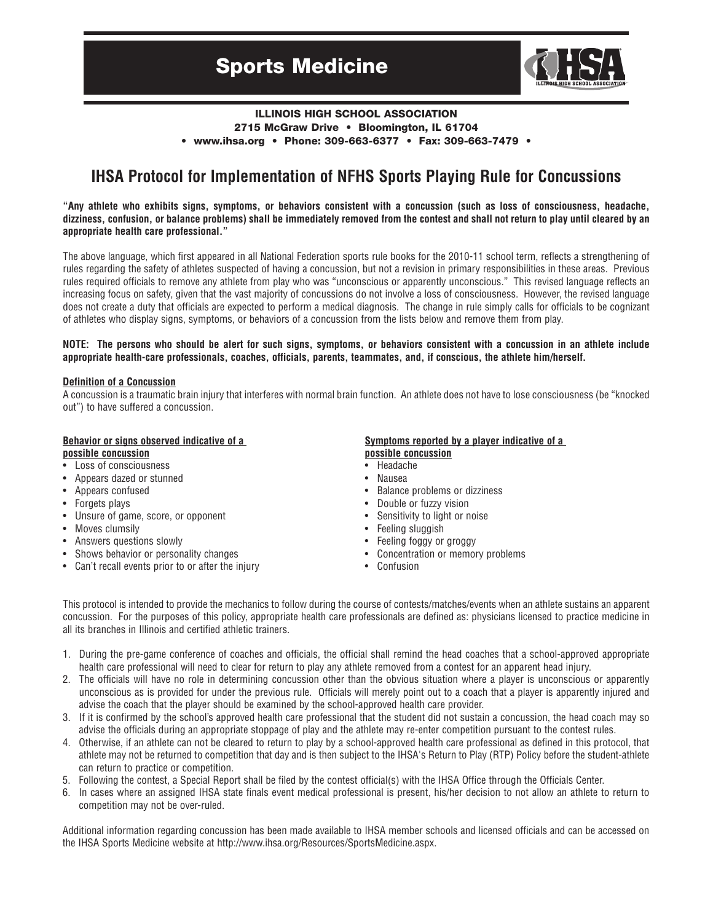

### **ILLINOIS HIGH SCHOOL ASSOCIATION 2715 McGraw Drive • Bloomington, IL 61704 • www.ihsa.org • Phone: 309-663-6377 • Fax: 309-663-7479 •**

# **IHSA Protocol for Implementation of NFHS Sports Playing Rule for Concussions**

"Any athlete who exhibits signs, symptoms, or behaviors consistent with a concussion (such as loss of consciousness, headache, dizziness, confusion, or balance problems) shall be immediately removed from the contest and shall not return to play until cleared by an **appropriate health care professional."**

The above language, which first appeared in all National Federation sports rule books for the 2010-11 school term, reflects a strengthening of rules regarding the safety of athletes suspected of having a concussion, but not a revision in primary responsibilities in these areas. Previous rules required officials to remove any athlete from play who was "unconscious or apparently unconscious." This revised language reflects an increasing focus on safety, given that the vast majority of concussions do not involve a loss of consciousness. However, the revised language does not create a duty that officials are expected to perform a medical diagnosis. The change in rule simply calls for officials to be cognizant of athletes who display signs, symptoms, or behaviors of a concussion from the lists below and remove them from play.

#### NOTE: The persons who should be alert for such signs, symptoms, or behaviors consistent with a concussion in an athlete include **appropriate health-care professionals, coaches, officials, parents, teammates, and, if conscious, the athlete him/herself.**

#### **Definition of a Concussion**

A concussion is a traumatic brain injury that interferes with normal brain function. An athlete does not have to lose consciousness (be "knocked out") to have suffered a concussion.

# **Behavior or signs observed indicative of a**

#### **possible concussion**

- Loss of consciousness
- Appears dazed or stunned
- Appears confused
- Forgets plays
- Unsure of game, score, or opponent
- Moves clumsily
- Answers questions slowly
- Shows behavior or personality changes
- Can't recall events prior to or after the injury

#### **Symptoms reported by a player indicative of a possible concussion**

- Headache
- Nausea
- Balance problems or dizziness
- Double or fuzzy vision
- Sensitivity to light or noise
- Feeling sluggish
- Feeling foggy or groggy
- Concentration or memory problems
- Confusion

This protocol is intended to provide the mechanics to follow during the course of contests/matches/events when an athlete sustains an apparent concussion. For the purposes of this policy, appropriate health care professionals are defined as: physicians licensed to practice medicine in all its branches in Illinois and certified athletic trainers.

- 1. During the pre-game conference of coaches and officials, the official shall remind the head coaches that a school-approved appropriate health care professional will need to clear for return to play any athlete removed from a contest for an apparent head injury.
- 2. The officials will have no role in determining concussion other than the obvious situation where a player is unconscious or apparently unconscious as is provided for under the previous rule. Officials will merely point out to a coach that a player is apparently injured and advise the coach that the player should be examined by the school-approved health care provider.
- 3. If it is confirmed by the school's approved health care professional that the student did not sustain a concussion, the head coach may so advise the officials during an appropriate stoppage of play and the athlete may re-enter competition pursuant to the contest rules.
- 4. Otherwise, if an athlete can not be cleared to return to play by a school-approved health care professional as defined in this protocol, that athlete may not be returned to competition that day and is then subject to the IHSA's Return to Play (RTP) Policy before the student-athlete can return to practice or competition.
- 5. Following the contest, a Special Report shall be filed by the contest official(s) with the IHSA Office through the Officials Center.
- 6. In cases where an assigned IHSA state finals event medical professional is present, his/her decision to not allow an athlete to return to competition may not be over-ruled.

Additional information regarding concussion has been made available to IHSA member schools and licensed officials and can be accessed on the IHSA Sports Medicine website at http://www.ihsa.org/Resources/SportsMedicine.aspx.